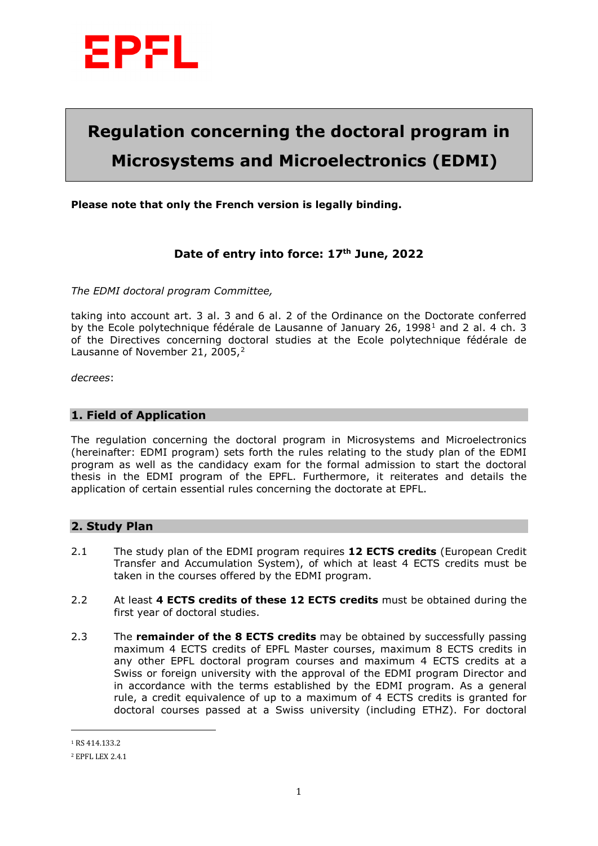

# **Regulation concerning the doctoral program in Microsystems and Microelectronics (EDMI)**

**Please note that only the French version is legally binding.** 

## **Date of entry into force: 17th June, 2022**

*The EDMI doctoral program Committee,* 

taking into account art. 3 al. 3 and 6 al. 2 of the Ordinance on the Doctorate conferred by the Ecole polytechnique fédérale de Lausanne of January 26, [1](#page-0-0)998<sup>1</sup> and 2 al. 4 ch. 3 of the Directives concerning doctoral studies at the Ecole polytechnique fédérale de Lausanne of November [2](#page-0-1)1, 2005,<sup>2</sup>

*decrees*:

#### **1. Field of Application**

The regulation concerning the doctoral program in Microsystems and Microelectronics (hereinafter: EDMI program) sets forth the rules relating to the study plan of the EDMI program as well as the candidacy exam for the formal admission to start the doctoral thesis in the EDMI program of the EPFL. Furthermore, it reiterates and details the application of certain essential rules concerning the doctorate at EPFL.

#### **2. Study Plan**

- 2.1 The study plan of the EDMI program requires **12 ECTS credits** (European Credit Transfer and Accumulation System), of which at least 4 ECTS credits must be taken in the courses offered by the EDMI program.
- 2.2 At least **4 ECTS credits of these 12 ECTS credits** must be obtained during the first year of doctoral studies.
- 2.3 The **remainder of the 8 ECTS credits** may be obtained by successfully passing maximum 4 ECTS credits of EPFL Master courses, maximum 8 ECTS credits in any other EPFL doctoral program courses and maximum 4 ECTS credits at a Swiss or foreign university with the approval of the EDMI program Director and in accordance with the terms established by the EDMI program. As a general rule, a credit equivalence of up to a maximum of 4 ECTS credits is granted for doctoral courses passed at a Swiss university (including ETHZ). For doctoral

 $\overline{a}$ 

<span id="page-0-0"></span><sup>1</sup> RS 414.133.2

<span id="page-0-1"></span><sup>2</sup> EPFL LEX 2.4.1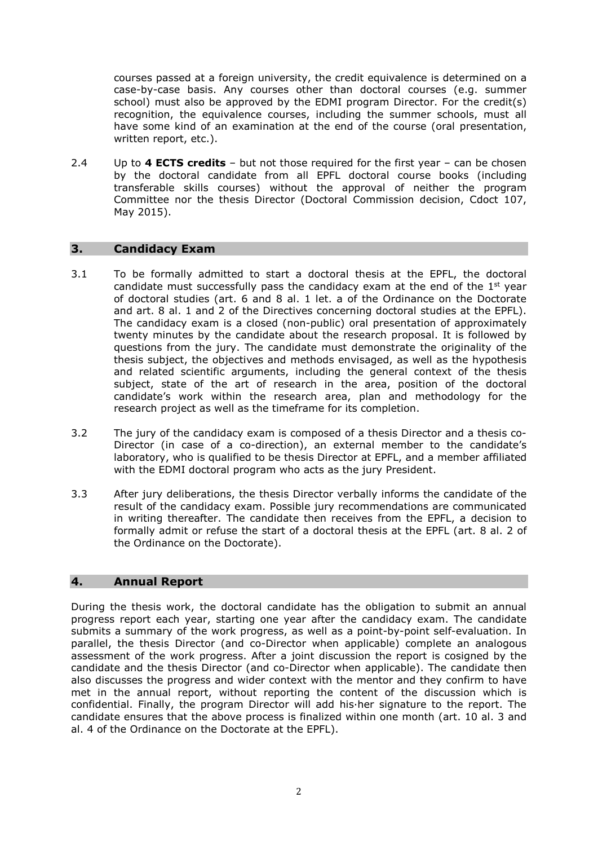courses passed at a foreign university, the credit equivalence is determined on a case-by-case basis. Any courses other than doctoral courses (e.g. summer school) must also be approved by the EDMI program Director. For the credit(s) recognition, the equivalence courses, including the summer schools, must all have some kind of an examination at the end of the course (oral presentation, written report, etc.).

2.4 Up to **4 ECTS credits** – but not those required for the first year – can be chosen by the doctoral candidate from all EPFL doctoral course books (including transferable skills courses) without the approval of neither the program Committee nor the thesis Director (Doctoral Commission decision, Cdoct 107, May 2015).

## **3. Candidacy Exam**

- 3.1 To be formally admitted to start a doctoral thesis at the EPFL, the doctoral candidate must successfully pass the candidacy exam at the end of the 1<sup>st</sup> year of doctoral studies (art. 6 and 8 al. 1 let. a of the Ordinance on the Doctorate and art. 8 al. 1 and 2 of the Directives concerning doctoral studies at the EPFL). The candidacy exam is a closed (non-public) oral presentation of approximately twenty minutes by the candidate about the research proposal. It is followed by questions from the jury. The candidate must demonstrate the originality of the thesis subject, the objectives and methods envisaged, as well as the hypothesis and related scientific arguments, including the general context of the thesis subject, state of the art of research in the area, position of the doctoral candidate's work within the research area, plan and methodology for the research project as well as the timeframe for its completion.
- 3.2 The jury of the candidacy exam is composed of a thesis Director and a thesis co-Director (in case of a co-direction), an external member to the candidate's laboratory, who is qualified to be thesis Director at EPFL, and a member affiliated with the EDMI doctoral program who acts as the jury President.
- 3.3 After jury deliberations, the thesis Director verbally informs the candidate of the result of the candidacy exam. Possible jury recommendations are communicated in writing thereafter. The candidate then receives from the EPFL, a decision to formally admit or refuse the start of a doctoral thesis at the EPFL (art. 8 al. 2 of the Ordinance on the Doctorate).

#### **4. Annual Report**

During the thesis work, the doctoral candidate has the obligation to submit an annual progress report each year, starting one year after the candidacy exam. The candidate submits a summary of the work progress, as well as a point-by-point self-evaluation. In parallel, the thesis Director (and co-Director when applicable) complete an analogous assessment of the work progress. After a joint discussion the report is cosigned by the candidate and the thesis Director (and co-Director when applicable). The candidate then also discusses the progress and wider context with the mentor and they confirm to have met in the annual report, without reporting the content of the discussion which is confidential. Finally, the program Director will add his·her signature to the report. The candidate ensures that the above process is finalized within one month (art. 10 al. 3 and al. 4 of the Ordinance on the Doctorate at the EPFL).